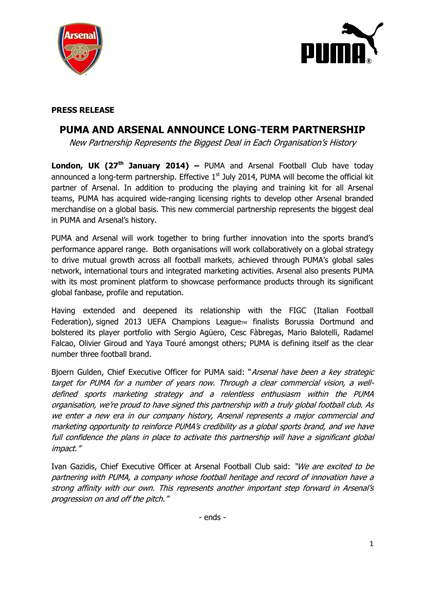



# **PRESS RELEASE**

# **PUMA AND ARSENAL ANNOUNCE LONG-TERM PARTNERSHIP**

New Partnership Represents the Biggest Deal in Each Organisation's History

**London, UK (27th January 2014) –** PUMA and Arsenal Football Club have today announced a long-term partnership. Effective  $1<sup>st</sup>$  July 2014, PUMA will become the official kit partner of Arsenal. In addition to producing the playing and training kit for all Arsenal teams, PUMA has acquired wide-ranging licensing rights to develop other Arsenal branded merchandise on a global basis. This new commercial partnership represents the biggest deal in PUMA and Arsenal's history.

PUMA and Arsenal will work together to bring further innovation into the sports brand's performance apparel range. Both organisations will work collaboratively on a global strategy to drive mutual growth across all football markets, achieved through PUMA's global sales network, international tours and integrated marketing activities. Arsenal also presents PUMA with its most prominent platform to showcase performance products through its significant global fanbase, profile and reputation.

Having extended and deepened its relationship with the FIGC (Italian Football Federation), signed 2013 UEFA Champions League<sub>TM</sub> finalists Borussia Dortmund and bolstered its player portfolio with Sergio Agüero, Cesc Fàbregas, Mario Balotelli, Radamel Falcao, Olivier Giroud and Yaya Touré amongst others; PUMA is defining itself as the clear number three football brand.

Bjoern Gulden, Chief Executive Officer for PUMA said: "Arsenal have been a key strategic target for PUMA for a number of years now. Through a clear commercial vision, a welldefined sports marketing strategy and a relentless enthusiasm within the PUMA organisation, we're proud to have signed this partnership with a truly global football club. As we enter a new era in our company history, Arsenal represents a major commercial and marketing opportunity to reinforce PUMA's credibility as a global sports brand, and we have full confidence the plans in place to activate this partnership will have a significant global impact."

Ivan Gazidis, Chief Executive Officer at Arsenal Football Club said: "We are excited to be partnering with PUMA, a company whose football heritage and record of innovation have a strong affinity with our own. This represents another important step forward in Arsenal's progression on and off the pitch."